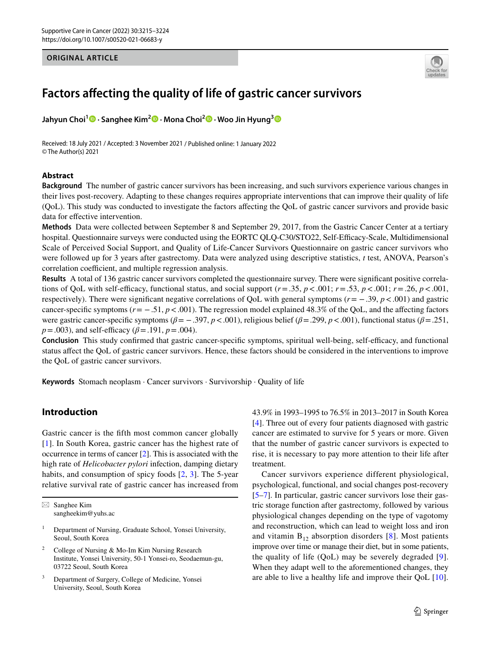## **ORIGINAL ARTICLE**



# **Factors afecting the quality of life of gastric cancer survivors**

**Jahyun Choi1 · Sanghee Kim2 · Mona Choi2  [·](http://orcid.org/0000-0003-4694-0359) Woo Jin Hyung[3](http://orcid.org/0000-0002-8593-9214)**

Received: 18 July 2021 / Accepted: 3 November 2021 / Published online: 1 January 2022 © The Author(s) 2021

# **Abstract**

**Background** The number of gastric cancer survivors has been increasing, and such survivors experience various changes in their lives post-recovery. Adapting to these changes requires appropriate interventions that can improve their quality of life (QoL). This study was conducted to investigate the factors afecting the QoL of gastric cancer survivors and provide basic data for effective intervention.

**Methods** Data were collected between September 8 and September 29, 2017, from the Gastric Cancer Center at a tertiary hospital. Questionnaire surveys were conducted using the EORTC QLQ-C30/STO22, Self-Efficacy-Scale, Multidimensional Scale of Perceived Social Support, and Quality of Life-Cancer Survivors Questionnaire on gastric cancer survivors who were followed up for 3 years after gastrectomy. Data were analyzed using descriptive statistics, *t* test, ANOVA, Pearson's correlation coefficient, and multiple regression analysis.

**Results** A total of 136 gastric cancer survivors completed the questionnaire survey. There were signifcant positive correlations of QoL with self-efficacy, functional status, and social support  $(r=.35, p<.001; r=.53, p<.001; r=.26, p<.001$ , respectively). There were signifcant negative correlations of QoL with general symptoms (*r*= −.39, *p*<.001) and gastric cancer-specifc symptoms (*r*= −.51, *p*<.001). The regression model explained 48.3% of the QoL, and the afecting factors were gastric cancer-specifc symptoms (*β*= −.397, *p*<.001), religious belief (*β*=.299, *p*<.001), functional status (*β*=.251,  $p = .003$ , and self-efficacy ( $\beta = .191$ ,  $p = .004$ ).

**Conclusion** This study confirmed that gastric cancer-specific symptoms, spiritual well-being, self-efficacy, and functional status afect the QoL of gastric cancer survivors. Hence, these factors should be considered in the interventions to improve the QoL of gastric cancer survivors.

**Keywords** Stomach neoplasm · Cancer survivors · Survivorship · Quality of life

# **Introduction**

Gastric cancer is the ffth most common cancer globally [\[1\]](#page-8-0). In South Korea, gastric cancer has the highest rate of occurrence in terms of cancer [[2\]](#page-8-1). This is associated with the high rate of *Helicobacter pylori* infection, damping dietary habits, and consumption of spicy foods  $[2, 3]$  $[2, 3]$  $[2, 3]$  $[2, 3]$  $[2, 3]$ . The 5-year relative survival rate of gastric cancer has increased from

 $\boxtimes$  Sanghee Kim sangheekim@yuhs.ac

- <sup>1</sup> Department of Nursing, Graduate School, Yonsei University, Seoul, South Korea
- <sup>2</sup> College of Nursing & Mo-Im Kim Nursing Research Institute, Yonsei University, 50-1 Yonsei-ro, Seodaemun-gu, 03722 Seoul, South Korea
- <sup>3</sup> Department of Surgery, College of Medicine, Yonsei University, Seoul, South Korea

43.9% in 1993–1995 to 76.5% in 2013–2017 in South Korea [[4\]](#page-8-3). Three out of every four patients diagnosed with gastric cancer are estimated to survive for 5 years or more. Given that the number of gastric cancer survivors is expected to rise, it is necessary to pay more attention to their life after treatment.

Cancer survivors experience different physiological, psychological, functional, and social changes post-recovery [[5–](#page-8-4)[7\]](#page-8-5). In particular, gastric cancer survivors lose their gastric storage function after gastrectomy, followed by various physiological changes depending on the type of vagotomy and reconstruction, which can lead to weight loss and iron and vitamin  $B_{12}$  absorption disorders [[8](#page-8-6)]. Most patients improve over time or manage their diet, but in some patients, the quality of life (QoL) may be severely degraded [[9](#page-8-7)]. When they adapt well to the aforementioned changes, they are able to live a healthy life and improve their QoL [[10](#page-8-8)].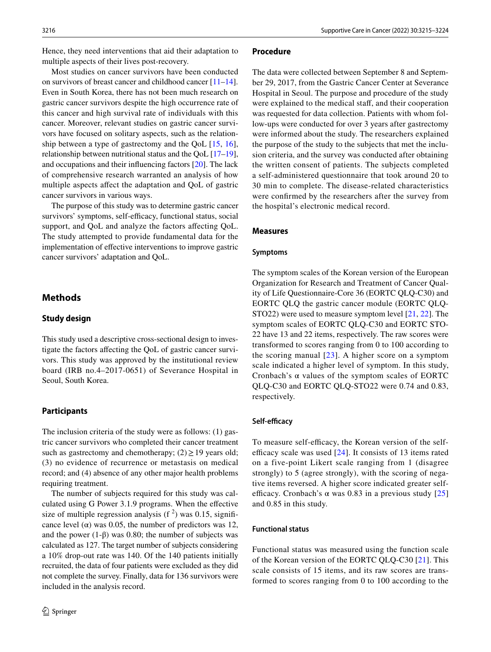Hence, they need interventions that aid their adaptation to multiple aspects of their lives post-recovery.

Most studies on cancer survivors have been conducted on survivors of breast cancer and childhood cancer [\[11](#page-8-9)[–14](#page-8-10)]. Even in South Korea, there has not been much research on gastric cancer survivors despite the high occurrence rate of this cancer and high survival rate of individuals with this cancer. Moreover, relevant studies on gastric cancer survivors have focused on solitary aspects, such as the relationship between a type of gastrectomy and the QoL [\[15,](#page-8-11) [16](#page-8-12)], relationship between nutritional status and the QoL [\[17](#page-8-13)[–19](#page-8-14)], and occupations and their infuencing factors [\[20](#page-8-15)]. The lack of comprehensive research warranted an analysis of how multiple aspects afect the adaptation and QoL of gastric cancer survivors in various ways.

The purpose of this study was to determine gastric cancer survivors' symptoms, self-efficacy, functional status, social support, and QoL and analyze the factors affecting QoL. The study attempted to provide fundamental data for the implementation of efective interventions to improve gastric cancer survivors' adaptation and QoL.

# **Methods**

## **Study design**

This study used a descriptive cross-sectional design to investigate the factors afecting the QoL of gastric cancer survivors. This study was approved by the institutional review board (IRB no.4–2017-0651) of Severance Hospital in Seoul, South Korea.

#### **Participants**

The inclusion criteria of the study were as follows: (1) gastric cancer survivors who completed their cancer treatment such as gastrectomy and chemotherapy;  $(2) \ge 19$  years old; (3) no evidence of recurrence or metastasis on medical record; and (4) absence of any other major health problems requiring treatment.

The number of subjects required for this study was calculated using G Power 3.1.9 programs. When the efective size of multiple regression analysis  $(f^2)$  was 0.15, significance level ( $\alpha$ ) was 0.05, the number of predictors was 12, and the power  $(1-\beta)$  was 0.80; the number of subjects was calculated as 127. The target number of subjects considering a 10% drop-out rate was 140. Of the 140 patients initially recruited, the data of four patients were excluded as they did not complete the survey. Finally, data for 136 survivors were included in the analysis record.

#### **Procedure**

The data were collected between September 8 and September 29, 2017, from the Gastric Cancer Center at Severance Hospital in Seoul. The purpose and procedure of the study were explained to the medical staff, and their cooperation was requested for data collection. Patients with whom follow-ups were conducted for over 3 years after gastrectomy were informed about the study. The researchers explained the purpose of the study to the subjects that met the inclusion criteria, and the survey was conducted after obtaining the written consent of patients. The subjects completed a self-administered questionnaire that took around 20 to 30 min to complete. The disease-related characteristics were confrmed by the researchers after the survey from the hospital's electronic medical record.

#### **Measures**

#### **Symptoms**

The symptom scales of the Korean version of the European Organization for Research and Treatment of Cancer Quality of Life Questionnaire-Core 36 (EORTC QLQ-C30) and EORTC QLQ the gastric cancer module (EORTC QLQ-STO22) were used to measure symptom level [[21](#page-8-16), [22](#page-8-17)]. The symptom scales of EORTC QLQ-C30 and EORTC STO-22 have 13 and 22 items, respectively. The raw scores were transformed to scores ranging from 0 to 100 according to the scoring manual [[23](#page-8-18)]. A higher score on a symptom scale indicated a higher level of symptom. In this study, Cronbach's  $\alpha$  values of the symptom scales of EORTC QLQ-C30 and EORTC QLQ-STO22 were 0.74 and 0.83, respectively.

#### Self-efficacy

To measure self-efficacy, the Korean version of the selfefficacy scale was used  $[24]$  $[24]$  $[24]$ . It consists of 13 items rated on a five-point Likert scale ranging from 1 (disagree strongly) to 5 (agree strongly), with the scoring of negative items reversed. A higher score indicated greater selfefficacy. Cronbach's  $\alpha$  was 0.83 in a previous study [\[25](#page-8-20)] and 0.85 in this study.

#### **Functional status**

Functional status was measured using the function scale of the Korean version of the EORTC QLQ-C30 [\[21](#page-8-16)]. This scale consists of 15 items, and its raw scores are transformed to scores ranging from 0 to 100 according to the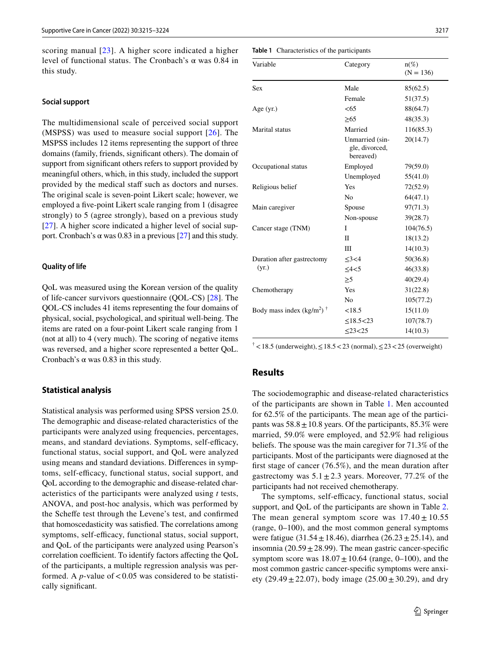scoring manual [[23\]](#page-8-18). A higher score indicated a higher level of functional status. The Cronbach's α was 0.84 in this study.

#### **Social support**

The multidimensional scale of perceived social support (MSPSS) was used to measure social support [[26](#page-8-21)]. The MSPSS includes 12 items representing the support of three domains (family, friends, signifcant others). The domain of support from signifcant others refers to support provided by meaningful others, which, in this study, included the support provided by the medical staff such as doctors and nurses. The original scale is seven-point Likert scale; however, we employed a fve-point Likert scale ranging from 1 (disagree strongly) to 5 (agree strongly), based on a previous study [\[27\]](#page-8-22). A higher score indicated a higher level of social support. Cronbach's  $\alpha$  was 0.83 in a previous [[27\]](#page-8-22) and this study.

#### **Quality of life**

QoL was measured using the Korean version of the quality of life-cancer survivors questionnaire (QOL-CS) [[28\]](#page-8-23). The QOL-CS includes 41 items representing the four domains of physical, social, psychological, and spiritual well-being. The items are rated on a four-point Likert scale ranging from 1 (not at all) to 4 (very much). The scoring of negative items was reversed, and a higher score represented a better QoL. Cronbach's  $\alpha$  was 0.83 in this study.

#### **Statistical analysis**

Statistical analysis was performed using SPSS version 25.0. The demographic and disease-related characteristics of the participants were analyzed using frequencies, percentages, means, and standard deviations. Symptoms, self-efficacy, functional status, social support, and QoL were analyzed using means and standard deviations. Diferences in symptoms, self-efficacy, functional status, social support, and QoL according to the demographic and disease-related characteristics of the participants were analyzed using *t* tests, ANOVA, and post-hoc analysis, which was performed by the Schefe test through the Levene's test, and confrmed that homoscedasticity was satisfed. The correlations among symptoms, self-efficacy, functional status, social support, and QoL of the participants were analyzed using Pearson's correlation coefficient. To identify factors affecting the QoL of the participants, a multiple regression analysis was performed. A *p*-value of  $< 0.05$  was considered to be statistically signifcant.

<span id="page-2-0"></span>

| <b>Table 1</b> Characteristics of the participants |  |
|----------------------------------------------------|--|
|----------------------------------------------------|--|

| Variable                                | Category                                       | $n(\%)$<br>$(N = 136)$ |
|-----------------------------------------|------------------------------------------------|------------------------|
| <b>Sex</b>                              | Male                                           | 85(62.5)               |
|                                         | Female                                         | 51(37.5)               |
| Age $(yr.)$                             | <65                                            | 88(64.7)               |
|                                         | >65                                            | 48(35.3)               |
| Marital status                          | Married                                        | 116(85.3)              |
|                                         | Unmarried (sin-<br>gle, divorced,<br>bereaved) | 20(14.7)               |
| Occupational status                     | Employed                                       | 79(59.0)               |
|                                         | Unemployed                                     | 55(41.0)               |
| Religious belief                        | Yes                                            | 72(52.9)               |
|                                         | N <sub>0</sub>                                 | 64(47.1)               |
| Main caregiver                          | Spouse                                         | 97(71.3)               |
|                                         | Non-spouse                                     | 39(28.7)               |
| Cancer stage (TNM)                      | I                                              | 104(76.5)              |
| (yr.)                                   | П                                              | 18(13.2)               |
|                                         | Ш                                              | 14(10.3)               |
| Duration after gastrectomy              | <3<4                                           | 50(36.8)               |
|                                         | 4 < 5                                          | 46(33.8)               |
|                                         | $\geq 5$                                       | 40(29.4)               |
| Chemotherapy                            | Yes                                            | 31(22.8)               |
|                                         | No                                             | 105(77.2)              |
| Body mass index $(kg/m^2)$ <sup>†</sup> | < 18.5                                         | 15(11.0)               |
|                                         | $\leq$ 18.5<23                                 | 107(78.7)              |
|                                         | $\leq$ 23 $\lt$ 25                             | 14(10.3)               |

<sup>†</sup> <18.5 (underweight), ≤18.5 <23 (normal), ≤23 <25 (overweight)

# **Results**

The sociodemographic and disease-related characteristics of the participants are shown in Table [1.](#page-2-0) Men accounted for 62.5% of the participants. The mean age of the participants was  $58.8 \pm 10.8$  years. Of the participants, 85.3% were married, 59.0% were employed, and 52.9% had religious beliefs. The spouse was the main caregiver for 71.3% of the participants. Most of the participants were diagnosed at the frst stage of cancer (76.5%), and the mean duration after gastrectomy was  $5.1 \pm 2.3$  years. Moreover, 77.2% of the participants had not received chemotherapy.

The symptoms, self-efficacy, functional status, social support, and QoL of the participants are shown in Table [2.](#page-3-0) The mean general symptom score was  $17.40 \pm 10.55$ (range, 0–100), and the most common general symptoms were fatigue (31.54 $\pm$ 18.46), diarrhea (26.23 $\pm$ 25.14), and insomnia ( $20.59 \pm 28.99$ ). The mean gastric cancer-specific symptom score was  $18.07 \pm 10.64$  (range, 0–100), and the most common gastric cancer-specifc symptoms were anxiety (29.49  $\pm$  22.07), body image (25.00  $\pm$  30.29), and dry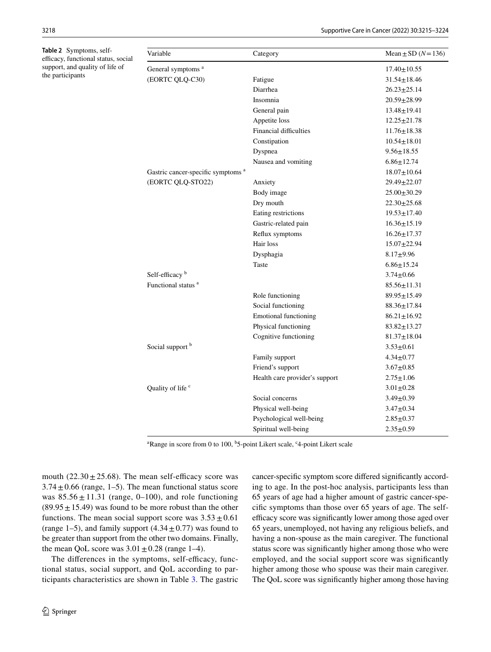<span id="page-3-0"></span> $Table$ 

3218 Supportive Care in Cancer (2022) 30:3215–3224

| <b>Trable 2</b> Symptoms, self-<br>efficacy, functional status, social | Variable                                      | Category                       | Mean $\pm$ SD ( $N$ =136) |
|------------------------------------------------------------------------|-----------------------------------------------|--------------------------------|---------------------------|
| support, and quality of life of                                        | General symptoms <sup>a</sup>                 |                                | $17.40 \pm 10.55$         |
| the participants                                                       | (EORTC QLQ-C30)                               | Fatigue                        | $31.54 \pm 18.46$         |
|                                                                        |                                               | Diarrhea                       | $26.23 \pm 25.14$         |
|                                                                        |                                               | Insomnia                       | $20.59 \pm 28.99$         |
|                                                                        |                                               | General pain                   | $13.48 \pm 19.41$         |
|                                                                        |                                               | Appetite loss                  | $12.25 \pm 21.78$         |
|                                                                        |                                               | Financial difficulties         | $11.76 \pm 18.38$         |
|                                                                        |                                               | Constipation                   | $10.54 \pm 18.01$         |
|                                                                        |                                               | Dyspnea                        | $9.56 \pm 18.55$          |
|                                                                        |                                               | Nausea and vomiting            | $6.86 \pm 12.74$          |
|                                                                        | Gastric cancer-specific symptoms <sup>a</sup> |                                | $18.07 \pm 10.64$         |
|                                                                        | (EORTC QLQ-STO22)                             | Anxiety                        | $29.49 \pm 22.07$         |
|                                                                        |                                               | Body image                     | $25.00 \pm 30.29$         |
|                                                                        |                                               | Dry mouth                      | $22.30 \pm 25.68$         |
|                                                                        |                                               | Eating restrictions            | $19.53 \pm 17.40$         |
|                                                                        |                                               | Gastric-related pain           | $16.36 \pm 15.19$         |
|                                                                        |                                               | Reflux symptoms                | $16.26 \pm 17.37$         |
|                                                                        |                                               | Hair loss                      | $15.07 \pm 22.94$         |
|                                                                        |                                               | Dysphagia                      | $8.17 + 9.96$             |
|                                                                        |                                               | Taste                          | $6.86 \pm 15.24$          |
|                                                                        | Self-efficacy <sup>b</sup>                    |                                | $3.74 \pm 0.66$           |
|                                                                        | Functional status <sup>a</sup>                |                                | $85.56 \pm 11.31$         |
|                                                                        |                                               | Role functioning               | $89.95 \pm 15.49$         |
|                                                                        |                                               | Social functioning             | $88.36 \pm 17.84$         |
|                                                                        |                                               | <b>Emotional functioning</b>   | $86.21 \pm 16.92$         |
|                                                                        |                                               | Physical functioning           | $83.82 \pm 13.27$         |
|                                                                        |                                               | Cognitive functioning          | $81.37 \pm 18.04$         |
|                                                                        | Social support <sup>b</sup>                   |                                | $3.53 \pm 0.61$           |
|                                                                        |                                               | Family support                 | $4.34 \pm 0.77$           |
|                                                                        |                                               | Friend's support               | $3.67 + 0.85$             |
|                                                                        |                                               | Health care provider's support | $2.75 \pm 1.06$           |
|                                                                        | Quality of life <sup>c</sup>                  |                                | $3.01 \pm 0.28$           |
|                                                                        |                                               | Social concerns                | $3.49 \pm 0.39$           |
|                                                                        |                                               | Physical well-being            | $3.47 + 0.34$             |
|                                                                        |                                               | Psychological well-being       | $2.85 + 0.37$             |
|                                                                        |                                               | Spiritual well-being           | $2.35 + 0.59$             |

<sup>a</sup>Range in score from 0 to 100, <sup>b</sup>5-point Likert scale, <sup>c</sup>4-point Likert scale

mouth  $(22.30 \pm 25.68)$ . The mean self-efficacy score was  $3.74 \pm 0.66$  (range, 1–5). The mean functional status score was  $85.56 \pm 11.31$  (range, 0–100), and role functioning  $(89.95 \pm 15.49)$  was found to be more robust than the other functions. The mean social support score was  $3.53 \pm 0.61$ (range 1–5), and family support  $(4.34 \pm 0.77)$  was found to be greater than support from the other two domains. Finally, the mean QoL score was  $3.01 \pm 0.28$  (range 1–4).

The differences in the symptoms, self-efficacy, functional status, social support, and QoL according to participants characteristics are shown in Table [3](#page-4-0). The gastric cancer-specifc symptom score difered signifcantly according to age. In the post-hoc analysis, participants less than 65 years of age had a higher amount of gastric cancer-specifc symptoms than those over 65 years of age. The selfefficacy score was significantly lower among those aged over 65 years, unemployed, not having any religious beliefs, and having a non-spouse as the main caregiver. The functional status score was signifcantly higher among those who were employed, and the social support score was signifcantly higher among those who spouse was their main caregiver. The QoL score was signifcantly higher among those having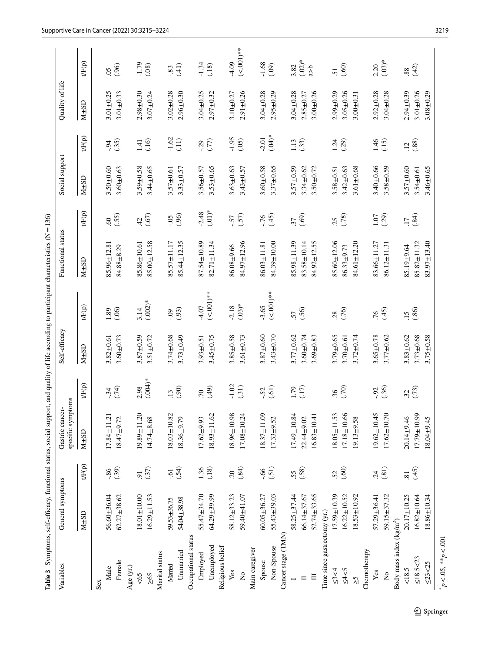<span id="page-4-0"></span>

| Table 3 Symptoms, self-efficacy, functional status, social support, and quality of life according to participant characteristics (N=136) |                   |                 |                                      |                |                 |                      |                   |                 |                 |                |                 |                 |
|------------------------------------------------------------------------------------------------------------------------------------------|-------------------|-----------------|--------------------------------------|----------------|-----------------|----------------------|-------------------|-----------------|-----------------|----------------|-----------------|-----------------|
| Variables                                                                                                                                | General symptoms  |                 | specific symptoms<br>Gastric cancer- |                | Self-efficacy   |                      | Functional status |                 | Social support  |                | Quality of life |                 |
|                                                                                                                                          | $M\pm SD$         | tF(p)           | $M\pm SD$                            | tF(p)          | $M\pm SD$       | $tF(p)$              | $M\pm SD$         | tF(p)           | $M\pm SD$       | tF(p)          | $M\pm SD$       | tF(p)           |
| Sex                                                                                                                                      |                   |                 |                                      |                |                 |                      |                   |                 |                 |                |                 |                 |
| Male                                                                                                                                     | 56.60±36.04       | $-86$           | $17.84 \pm 11.21$                    | $-34$          | $3.82 + 0.61$   | 1.89                 | 85.96±12.81       | $\mathcal{S}$   | $3.50 + 0.60$   | $-0.94$        | $3.01 + 0.25$   | $\overline{0}$  |
| Female                                                                                                                                   | $62.27 \pm 38.62$ | (.39)           | $18.47 + 9.72$                       | (74)           | $3.60 + 0.73$   | (.06)                | 84.88±8.29        | (55)            | $3.60 + 0.63$   | (.35)          | $3.01 + 0.33$   | (96)            |
| Age (yr.)                                                                                                                                |                   |                 |                                      |                |                 |                      |                   |                 |                 |                |                 |                 |
| $<\!\!65$                                                                                                                                | $18.01 \pm 10.00$ | $\overline{9}$  | 19.89±11.20                          | 2.98           | $3.87 + 0.59$   | 3.14                 | 85.86±10.61       | 42              | $3.59 + 0.58$   | 1.41           | $2.98 + 0.30$   | $-1.79$         |
| $\geq 65$                                                                                                                                | $16.29 \pm 11.53$ | (.37)           | 14.74±8.68                           | $(.004)*$      | $3.51 \pm 0.72$ | $(.002)*$            | 85.00±12.58       | (67)            | $3.44 \pm 0.65$ | (.16)          | $3.07 + 0.24$   | (.08)           |
| Marital status                                                                                                                           |                   |                 |                                      |                |                 |                      |                   |                 |                 |                |                 |                 |
| Married                                                                                                                                  | 59.53±36.75       | $-6.1$          | $18.03 \pm 10.82$                    | $\ddot{13}$    | $3.74 \pm 0.68$ | $-0.9$               | $85.57 \pm 11.17$ | $-0.5$          | $3.57 + 0.61$   | $-1.62$        | $3.02 + 0.28$   | $-83$           |
| Unnarried                                                                                                                                | 54.04±38.98       | (.54)           | $18.36 + 9.79$                       | (90)           | $3.73 + 0.49$   | (93)                 | 85.44±12.35       | (96)            | $3.33 + 0.57$   | (11)           | $2.96 + 0.30$   | (41)            |
| Occupational status                                                                                                                      |                   |                 |                                      |                |                 |                      |                   |                 |                 |                |                 |                 |
| Employed                                                                                                                                 | $55.47 + 34.70$   | $1.36$<br>(.18) | $17.62 + 9.93$                       | $\overline{C}$ | $3.93 + 0.51$   | 4.07                 | 87.54±10.89       | $-2.48$         | $3.56 + 0.57$   | (77)           | $3.04 \pm 0.25$ | $-1.34$         |
| Unemployed                                                                                                                               | 64.29±39.99       |                 | $18.93 \pm 11.62$                    | (49)           | $3.45 + 0.75$   | $(-001)$ **          | $82.71 \pm 11.34$ | $(.01)*$        | $3.53 + 0.65$   |                | $2.97 + 0.32$   | (18)            |
| Religious belief                                                                                                                         |                   |                 |                                      |                |                 |                      |                   |                 |                 |                |                 |                 |
| Yes                                                                                                                                      | 58.12±33.23       | 20              | $18.96 \pm 10.98$                    | $-1.02$        | $3.85 + 0.58$   | $-2.18$              | 86.08±9.66        | $-57$           | $3.63 + 0.63$   | $-1.95$        | $3.10 + 0.27$   | $-4.09$         |
| $\tilde{z}$                                                                                                                              | 59.40±41.07       | (.84)           | $17.08 \pm 10.24$                    | (31)           | $3.61 + 0.73$   | $(.03)*$             | 84.97±12.96       | (57)            | $3.43 \pm 0.57$ | (.05)          | $2.91 + 0.26$   | $(-0.001)$ **   |
| Main caregiver                                                                                                                           |                   |                 |                                      |                |                 |                      |                   |                 |                 |                |                 |                 |
| Spouse                                                                                                                                   | $60.05 \pm 36.27$ | $99'$ -         | $18.37 \pm 11.09$                    | $-52$          | $3.87 + 0.60$   | $-3.65$<br>(<.001)** | $86.03 \pm 11.81$ | $-76$           | $3.60 + 0.58$   | $-2.01$        | $3.04 + 0.28$   | $-1.68$         |
| Non-Spouse                                                                                                                               | 55.43±39.03       | (51)            | $17.33 + 9.52$                       | (61)           | $3.43 + 0.70$   |                      | 84.39±10.00       | (45)            | $3.37 + 0.65$   | $(*04)$        | $2.95 + 0.29$   | (09)            |
| Cancer stage (TMN)                                                                                                                       |                   |                 |                                      |                |                 |                      |                   |                 |                 |                |                 |                 |
|                                                                                                                                          | $58.25 \pm 37.44$ | 55.             | $17.49 \pm 10.84$                    | 1.79           | $3.77 + 0.62$   | 57                   | 85.98±11.39       | 37              | $3.57 + 0.59$   | 1.13           | $3.04 + 0.28$   | 3.82            |
| $\blacksquare$                                                                                                                           | 66.14±37.67       | (.58)           | $22.44 + 9.02$                       | (17)           | $3.60 + 0.74$   | (.56)                | 83.58±10.14       | (.69)           | $3.34 \pm 0.62$ | (.33)          | $2.85 + 0.27$   | $(.02)*$        |
| $\Box$                                                                                                                                   | $52.74 \pm 33.65$ |                 | $16.83 \pm 10.41$                    |                | $3.69 + 0.83$   |                      | 84.92±12.55       |                 | $3.50 + 0.72$   |                | $3.00 + 0.26$   | $\frac{1}{6}$   |
| Time since gastrectomy (yr.)                                                                                                             |                   |                 |                                      |                |                 |                      |                   |                 |                 |                |                 |                 |
| 53<4                                                                                                                                     | $17.59 \pm 10.39$ | 52              | $18.05 \pm 11.53$                    | $\mathfrak{H}$ | $3.79 + 0.65$   | 28                   | 85.60±12.06       | 25              | $3.58 + 0.51$   | 1.24           | $2.99 + 0.29$   | $\overline{51}$ |
| $5 - 7 = 7$                                                                                                                              | $16.22 \pm 10.52$ | (.60)           | 17.18±10.66                          | (70)           | $3.70 + 0.61$   | (76)                 | 86.33±9.73        | (78)            | $3.42 \pm 0.63$ | (.29)          | $3.05 + 0.26$   | (0.6)           |
| $\tilde{\le}$                                                                                                                            | 18.53±10.92       |                 | $19.13 + 9.58$                       |                | $3.72 \pm 0.74$ |                      | $84.61 \pm 12.20$ |                 | $3.61 \pm 0.68$ |                | $3.00 + 0.31$   |                 |
| Chemotherapy                                                                                                                             |                   |                 |                                      |                |                 |                      |                   |                 |                 |                |                 |                 |
| Yes                                                                                                                                      | 57.29±36.41       | $\ddot{c}$      | $19.62 \pm 10.45$                    | $-0.92$        | $3.65 + 0.78$   | 76                   | $83.66 \pm 11.27$ | 1.07            | $3.40 \pm 0.66$ | 1.46           | $2.92 + 0.28$   | 2.20            |
| $\mathbf{\hat{z}}$                                                                                                                       | 59.15±37.32       | (.81)           | $17.62 \pm 10.70$                    | (.36)          | $3.77 + 0.62$   | (45)                 | 86.12±11.31       | (29)            | $3.58 + 0.59$   | (15)           | $3.04 + 0.28$   | $(.03)*$        |
| Body mass index (kg/m <sup>2</sup> )                                                                                                     |                   |                 |                                      |                |                 |                      |                   |                 |                 |                |                 |                 |
| 18.5                                                                                                                                     | 20.17±10.25       | $\overline{81}$ | $20.14 + 9.46$                       | 32             | $3.83 + 0.62$   | $\frac{15}{1}$       | 85.19±9.64        | $\overline{17}$ | $3.57 + 0.60$   | $\overline{c}$ | $2.94 \pm 0.39$ | 88.             |
| ≤18.5 < 23                                                                                                                               | $16.82 \pm 10.64$ | (45)            | $17.79 \pm 10.99$                    | (73)           | $3.73 + 0.68$   | (.86)                | $85.82 \pm 11.32$ | (.84)           | $3.54 \pm 0.61$ | (.88)          | $3.01 + 0.26$   | (42)            |
| $\leq$ 23<25                                                                                                                             | $18.86 \pm 10.34$ |                 | 18.04±9.45                           |                | $3.75 + 0.58$   |                      | $83.97 \pm 13.40$ |                 | $3.46 + 0.65$   |                | $3.08 + 0.29$   |                 |
| $p < 0.05$ , ** $p < 0.001$                                                                                                              |                   |                 |                                      |                |                 |                      |                   |                 |                 |                |                 |                 |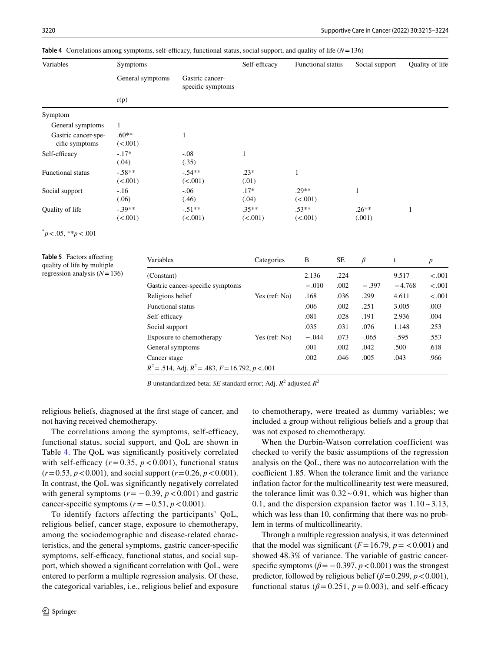<span id="page-5-0"></span>

|  | Table 4 Correlations among symptoms, self-efficacy, functional status, social support, and quality of life $(N=136)$ |  |  |  |  |  |
|--|----------------------------------------------------------------------------------------------------------------------|--|--|--|--|--|
|--|----------------------------------------------------------------------------------------------------------------------|--|--|--|--|--|

| Variables                             | Symptoms            |                                      | Self-efficacy       | Functional status   | Social support    | Quality of life |
|---------------------------------------|---------------------|--------------------------------------|---------------------|---------------------|-------------------|-----------------|
|                                       | General symptoms    | Gastric cancer-<br>specific symptoms |                     |                     |                   |                 |
|                                       | r(p)                |                                      |                     |                     |                   |                 |
| Symptom                               |                     |                                      |                     |                     |                   |                 |
| General symptoms                      |                     |                                      |                     |                     |                   |                 |
| Gastric cancer-spe-<br>cific symptoms | $.60**$<br>(<.001)  | $\mathbf{1}$                         |                     |                     |                   |                 |
| Self-efficacy                         | $-.17*$<br>(.04)    | $-.08$<br>(.35)                      | 1                   |                     |                   |                 |
| <b>Functional status</b>              | $-58**$<br>(<.001)  | $-54**$<br>(<.001)                   | $.23*$<br>(.01)     |                     |                   |                 |
| Social support                        | $-.16$<br>(.06)     | $-.06$<br>(.46)                      | $.17*$<br>(.04)     | $.29**$<br>(<.001)  | 1                 |                 |
| Quality of life                       | $-.39**$<br>(<.001) | $-.51**$<br>(<.001)                  | $.35**$<br>(< .001) | $.53**$<br>(< .001) | $.26**$<br>(.001) |                 |

\* *p*<.05, \*\**p*<.001

#### <span id="page-5-1"></span>**Table 5** Factors afecting quality of life by multiple regression analysis (*N*=136)

| Variables                                                  | Categories             | B       | SE   | β       | t        | $\boldsymbol{p}$ |
|------------------------------------------------------------|------------------------|---------|------|---------|----------|------------------|
| (Constant)                                                 |                        | 2.136   | .224 |         | 9.517    | $-.001$          |
| Gastric cancer-specific symptoms                           |                        | $-.010$ | .002 | $-.397$ | $-4.768$ | $-.001$          |
| Religious belief                                           | Yes (ref: No)          | .168    | .036 | .299    | 4.611    | $-.001$          |
| <b>Functional status</b>                                   |                        | .006    | .002 | .251    | 3.005    | .003             |
| Self-efficacy                                              |                        | .081    | .028 | .191    | 2.936    | .004             |
| Social support                                             |                        | .035    | .031 | .076    | 1.148    | .253             |
| Exposure to chemotherapy                                   | Yes $(\text{ref: No})$ | $-.044$ | .073 | $-.065$ | $-595$   | .553             |
| General symptoms                                           |                        | .001    | .002 | .042    | .500     | .618             |
| Cancer stage                                               |                        | .002    | .046 | .005    | .043     | .966             |
| $R^2$ = .514, Adj. $R^2$ = .483, $F = 16.792$ , $p < .001$ |                        |         |      |         |          |                  |

*B* unstandardized beta; *SE* standard error; Adj. *R*<sup>2</sup> adjusted *R*<sup>2</sup>

religious beliefs, diagnosed at the frst stage of cancer, and not having received chemotherapy.

The correlations among the symptoms, self-efficacy, functional status, social support, and QoL are shown in Table [4.](#page-5-0) The QoL was signifcantly positively correlated with self-efficacy  $(r=0.35, p<0.001)$ , functional status  $(r=0.53, p<0.001)$ , and social support  $(r=0.26, p<0.001)$ . In contrast, the QoL was signifcantly negatively correlated with general symptoms  $(r = -0.39, p < 0.001)$  and gastric cancer-specific symptoms  $(r = -0.51, p < 0.001)$ .

To identify factors affecting the participants' QoL, religious belief, cancer stage, exposure to chemotherapy, among the sociodemographic and disease-related characteristics, and the general symptoms, gastric cancer-specifc symptoms, self-efficacy, functional status, and social support, which showed a signifcant correlation with QoL, were entered to perform a multiple regression analysis. Of these, the categorical variables, i.e., religious belief and exposure

to chemotherapy, were treated as dummy variables; we included a group without religious beliefs and a group that was not exposed to chemotherapy.

When the Durbin-Watson correlation coefficient was checked to verify the basic assumptions of the regression analysis on the QoL, there was no autocorrelation with the coefficient 1.85. When the tolerance limit and the variance infation factor for the multicollinearity test were measured, the tolerance limit was  $0.32 \times 0.91$ , which was higher than 0.1, and the dispersion expansion factor was  $1.10 - 3.13$ , which was less than 10, confirming that there was no problem in terms of multicollinearity.

Through a multiple regression analysis, it was determined that the model was significant  $(F=16.79, p = 0.001)$  and showed 48.3% of variance. The variable of gastric cancerspecific symptoms ( $\beta$ = −0.397, *p* <0.001) was the strongest predictor, followed by religious belief  $(\beta = 0.299, p < 0.001)$ , functional status ( $\beta$ =0.251,  $p$  =0.003), and self-efficacy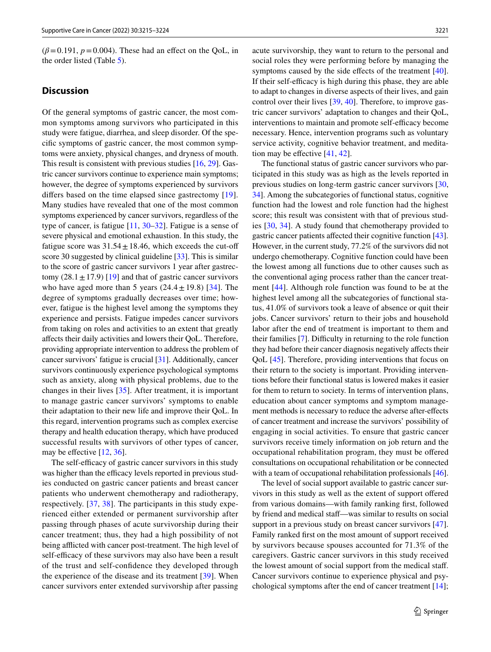$(\beta = 0.191, p = 0.004)$ . These had an effect on the QoL, in the order listed (Table [5](#page-5-1)).

## **Discussion**

Of the general symptoms of gastric cancer, the most common symptoms among survivors who participated in this study were fatigue, diarrhea, and sleep disorder. Of the specifc symptoms of gastric cancer, the most common symptoms were anxiety, physical changes, and dryness of mouth. This result is consistent with previous studies [\[16](#page-8-12), [29](#page-8-24)]. Gastric cancer survivors continue to experience main symptoms; however, the degree of symptoms experienced by survivors differs based on the time elapsed since gastrectomy [[19](#page-8-14)]. Many studies have revealed that one of the most common symptoms experienced by cancer survivors, regardless of the type of cancer, is fatigue [\[11](#page-8-9), [30–](#page-8-25)[32\]](#page-9-0). Fatigue is a sense of severe physical and emotional exhaustion. In this study, the fatigue score was  $31.54 \pm 18.46$ , which exceeds the cut-off score 30 suggested by clinical guideline [\[33](#page-9-1)]. This is similar to the score of gastric cancer survivors 1 year after gastrectomy  $(28.1 \pm 17.9)$  [[19\]](#page-8-14) and that of gastric cancer survivors who have aged more than 5 years  $(24.4 \pm 19.8)$  [[34](#page-9-2)]. The degree of symptoms gradually decreases over time; however, fatigue is the highest level among the symptoms they experience and persists. Fatigue impedes cancer survivors from taking on roles and activities to an extent that greatly afects their daily activities and lowers their QoL. Therefore, providing appropriate intervention to address the problem of cancer survivors' fatigue is crucial [[31\]](#page-9-3). Additionally, cancer survivors continuously experience psychological symptoms such as anxiety, along with physical problems, due to the changes in their lives [[35](#page-9-4)]. After treatment, it is important to manage gastric cancer survivors' symptoms to enable their adaptation to their new life and improve their QoL. In this regard, intervention programs such as complex exercise therapy and health education therapy, which have produced successful results with survivors of other types of cancer, may be effective  $[12, 36]$  $[12, 36]$  $[12, 36]$  $[12, 36]$  $[12, 36]$ .

The self-efficacy of gastric cancer survivors in this study was higher than the efficacy levels reported in previous studies conducted on gastric cancer patients and breast cancer patients who underwent chemotherapy and radiotherapy, respectively. [\[37,](#page-9-6) [38](#page-9-7)]. The participants in this study experienced either extended or permanent survivorship after passing through phases of acute survivorship during their cancer treatment; thus, they had a high possibility of not being afflicted with cancer post-treatment. The high level of self-efficacy of these survivors may also have been a result of the trust and self-confdence they developed through the experience of the disease and its treatment [[39](#page-9-8)]. When cancer survivors enter extended survivorship after passing

acute survivorship, they want to return to the personal and social roles they were performing before by managing the symptoms caused by the side effects of the treatment [\[40](#page-9-9)]. If their self-efficacy is high during this phase, they are able to adapt to changes in diverse aspects of their lives, and gain control over their lives [\[39](#page-9-8), [40\]](#page-9-9). Therefore, to improve gastric cancer survivors' adaptation to changes and their QoL, interventions to maintain and promote self-efficacy become necessary. Hence, intervention programs such as voluntary service activity, cognitive behavior treatment, and meditation may be effective  $[41, 42]$  $[41, 42]$  $[41, 42]$  $[41, 42]$ .

The functional status of gastric cancer survivors who participated in this study was as high as the levels reported in previous studies on long-term gastric cancer survivors [[30,](#page-8-25) [34](#page-9-2)]. Among the subcategories of functional status, cognitive function had the lowest and role function had the highest score; this result was consistent with that of previous studies [[30,](#page-8-25) [34](#page-9-2)]. A study found that chemotherapy provided to gastric cancer patients afected their cognitive function [\[43](#page-9-12)]. However, in the current study, 77.2% of the survivors did not undergo chemotherapy. Cognitive function could have been the lowest among all functions due to other causes such as the conventional aging process rather than the cancer treatment [\[44\]](#page-9-13). Although role function was found to be at the highest level among all the subcategories of functional status, 41.0% of survivors took a leave of absence or quit their jobs. Cancer survivors' return to their jobs and household labor after the end of treatment is important to them and their families [[7\]](#page-8-5). Difficulty in returning to the role function they had before their cancer diagnosis negatively afects their QoL [[45\]](#page-9-14). Therefore, providing interventions that focus on their return to the society is important. Providing interventions before their functional status is lowered makes it easier for them to return to society. In terms of intervention plans, education about cancer symptoms and symptom management methods is necessary to reduce the adverse after-efects of cancer treatment and increase the survivors' possibility of engaging in social activities. To ensure that gastric cancer survivors receive timely information on job return and the occupational rehabilitation program, they must be ofered consultations on occupational rehabilitation or be connected with a team of occupational rehabilitation professionals [[46](#page-9-15)].

The level of social support available to gastric cancer survivors in this study as well as the extent of support ofered from various domains—with family ranking frst, followed by friend and medical staf—was similar to results on social support in a previous study on breast cancer survivors [\[47](#page-9-16)]. Family ranked frst on the most amount of support received by survivors because spouses accounted for 71.3% of the caregivers. Gastric cancer survivors in this study received the lowest amount of social support from the medical staff. Cancer survivors continue to experience physical and psychological symptoms after the end of cancer treatment [[14\]](#page-8-10);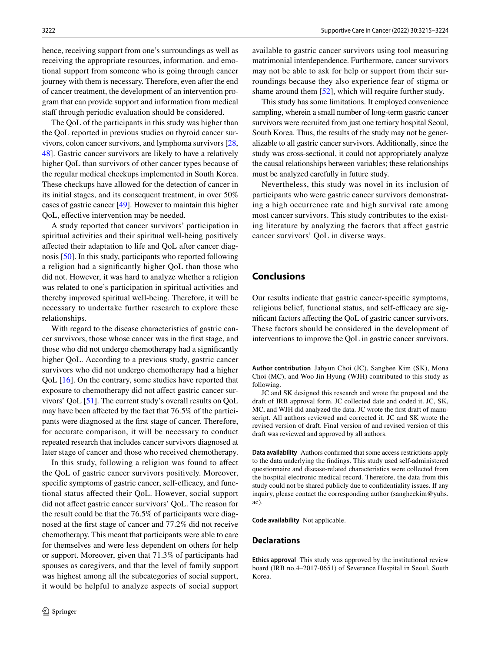hence, receiving support from one's surroundings as well as receiving the appropriate resources, information. and emotional support from someone who is going through cancer journey with them is necessary. Therefore, even after the end of cancer treatment, the development of an intervention program that can provide support and information from medical staff through periodic evaluation should be considered.

The QoL of the participants in this study was higher than the QoL reported in previous studies on thyroid cancer survivors, colon cancer survivors, and lymphoma survivors [[28,](#page-8-23) [48](#page-9-17)]. Gastric cancer survivors are likely to have a relatively higher QoL than survivors of other cancer types because of the regular medical checkups implemented in South Korea. These checkups have allowed for the detection of cancer in its initial stages, and its consequent treatment, in over 50% cases of gastric cancer [[49\]](#page-9-18). However to maintain this higher QoL, efective intervention may be needed.

A study reported that cancer survivors' participation in spiritual activities and their spiritual well-being positively afected their adaptation to life and QoL after cancer diagnosis [[50\]](#page-9-19). In this study, participants who reported following a religion had a signifcantly higher QoL than those who did not. However, it was hard to analyze whether a religion was related to one's participation in spiritual activities and thereby improved spiritual well-being. Therefore, it will be necessary to undertake further research to explore these relationships.

With regard to the disease characteristics of gastric cancer survivors, those whose cancer was in the frst stage, and those who did not undergo chemotherapy had a signifcantly higher QoL. According to a previous study, gastric cancer survivors who did not undergo chemotherapy had a higher QoL [\[16](#page-8-12)]. On the contrary, some studies have reported that exposure to chemotherapy did not afect gastric cancer survivors' QoL [[51\]](#page-9-20). The current study's overall results on QoL may have been afected by the fact that 76.5% of the participants were diagnosed at the frst stage of cancer. Therefore, for accurate comparison, it will be necessary to conduct repeated research that includes cancer survivors diagnosed at later stage of cancer and those who received chemotherapy.

In this study, following a religion was found to afect the QoL of gastric cancer survivors positively. Moreover, specific symptoms of gastric cancer, self-efficacy, and functional status afected their QoL. However, social support did not afect gastric cancer survivors' QoL. The reason for the result could be that the 76.5% of participants were diagnosed at the frst stage of cancer and 77.2% did not receive chemotherapy. This meant that participants were able to care for themselves and were less dependent on others for help or support. Moreover, given that 71.3% of participants had spouses as caregivers, and that the level of family support was highest among all the subcategories of social support, it would be helpful to analyze aspects of social support

available to gastric cancer survivors using tool measuring matrimonial interdependence. Furthermore, cancer survivors may not be able to ask for help or support from their surroundings because they also experience fear of stigma or shame around them [[52\]](#page-9-21), which will require further study.

This study has some limitations. It employed convenience sampling, wherein a small number of long-term gastric cancer survivors were recruited from just one tertiary hospital Seoul, South Korea. Thus, the results of the study may not be generalizable to all gastric cancer survivors. Additionally, since the study was cross-sectional, it could not appropriately analyze the causal relationships between variables; these relationships must be analyzed carefully in future study.

Nevertheless, this study was novel in its inclusion of participants who were gastric cancer survivors demonstrating a high occurrence rate and high survival rate among most cancer survivors. This study contributes to the existing literature by analyzing the factors that afect gastric cancer survivors' QoL in diverse ways.

# **Conclusions**

Our results indicate that gastric cancer-specifc symptoms, religious belief, functional status, and self-efficacy are signifcant factors afecting the QoL of gastric cancer survivors. These factors should be considered in the development of interventions to improve the QoL in gastric cancer survivors.

**Author contribution** Jahyun Choi (JC), Sanghee Kim (SK), Mona Choi (MC), and Woo Jin Hyung (WJH) contributed to this study as following.

JC and SK designed this research and wrote the proposal and the draft of IRB approval form. JC collected date and coded it. JC, SK, MC, and WJH did analyzed the data. JC wrote the frst draft of manuscript. All authors reviewed and corrected it. JC and SK wrote the revised version of draft. Final version of and revised version of this draft was reviewed and approved by all authors.

**Data availability** Authors confrmed that some access restrictions apply to the data underlying the fndings. This study used self-administered questionnaire and disease-related characteristics were collected from the hospital electronic medical record. Therefore, the data from this study could not be shared publicly due to confdentiality issues. If any inquiry, please contact the corresponding author (sangheekim@yuhs. ac).

**Code availability** Not applicable.

#### **Declarations**

**Ethics approval** This study was approved by the institutional review board (IRB no.4–2017-0651) of Severance Hospital in Seoul, South Korea.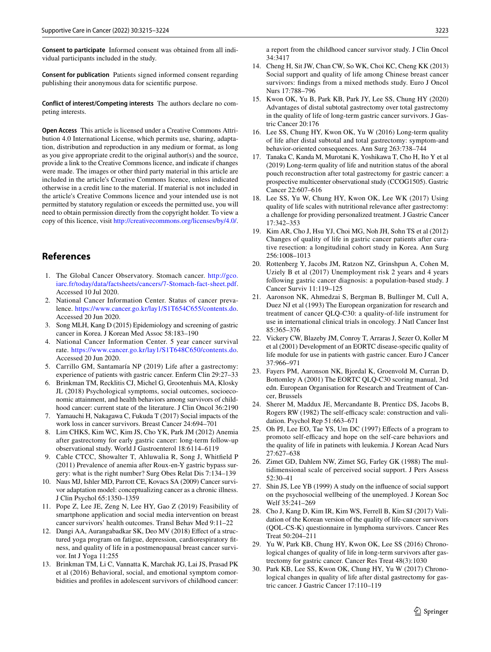**Consent to participate** Informed consent was obtained from all individual participants included in the study.

**Consent for publication** Patients signed informed consent regarding publishing their anonymous data for scientifc purpose.

**Conflict of interest/Competing interests** The authors declare no competing interests.

**Open Access** This article is licensed under a Creative Commons Attribution 4.0 International License, which permits use, sharing, adaptation, distribution and reproduction in any medium or format, as long as you give appropriate credit to the original author(s) and the source, provide a link to the Creative Commons licence, and indicate if changes were made. The images or other third party material in this article are included in the article's Creative Commons licence, unless indicated otherwise in a credit line to the material. If material is not included in the article's Creative Commons licence and your intended use is not permitted by statutory regulation or exceeds the permitted use, you will need to obtain permission directly from the copyright holder. To view a copy of this licence, visit <http://creativecommons.org/licenses/by/4.0/>.

# **References**

- <span id="page-8-0"></span>1. The Global Cancer Observatory. Stomach cancer. [http://gco.](http://gco.iarc.fr/today/data/factsheets/cancers/7-Stomach-fact-sheet.pdf) [iarc.fr/today/data/factsheets/cancers/7-Stomach-fact-sheet.pdf](http://gco.iarc.fr/today/data/factsheets/cancers/7-Stomach-fact-sheet.pdf). Accessed 10 Jul 2020.
- <span id="page-8-1"></span>2. National Cancer Information Center. Status of cancer prevalence. [https://www.cancer.go.kr/lay1/S1T654C655/contents.do.](https://www.cancer.go.kr/lay1/S1T654C655/contents.do) Accessed 20 Jun 2020.
- <span id="page-8-2"></span>3. Song MLH, Kang D (2015) Epidemiology and screening of gastric cancer in Korea. J Korean Med Assoc 58:183–190
- <span id="page-8-3"></span>4. National Cancer Information Center. 5 year cancer survival rate. <https://www.cancer.go.kr/lay1/S1T648C650/contents.do>. Accessed 20 Jun 2020.
- <span id="page-8-4"></span>5. Carrillo GM, Santamaría NP (2019) Life after a gastrectomy: experience of patients with gastric cancer. Enferm Clin 29:27–33
- 6. Brinkman TM, Recklitis CJ, Michel G, Grootenhuis MA, Klosky JL (2018) Psychological symptoms, social outcomes, socioeconomic attainment, and health behaviors among survivors of childhood cancer: current state of the literature. J Clin Oncol 36:2190
- <span id="page-8-5"></span>7. Yamauchi H, Nakagawa C, Fukuda T (2017) Social impacts of the work loss in cancer survivors. Breast Cancer 24:694–701
- <span id="page-8-6"></span>8. Lim CHKS, Kim WC, Kim JS, Cho YK, Park JM (2012) Anemia after gastrectomy for early gastric cancer: long-term follow-up observational study. World J Gastroenterol 18:6114–6119
- <span id="page-8-7"></span>9. Cable CTCC, Showalter T, Ahluwalia R, Song J, Whitfeld P (2011) Prevalence of anemia after Roux-en-Y gastric bypass surgery: what is the right number? Surg Obes Relat Dis 7:134–139
- <span id="page-8-8"></span>10. Naus MJ, Ishler MD, Parrott CE, Kovacs SA (2009) Cancer survivor adaptation model: conceptualizing cancer as a chronic illness. J Clin Psychol 65:1350–1359
- <span id="page-8-9"></span>11. Pope Z, Lee JE, Zeng N, Lee HY, Gao Z (2019) Feasibility of smartphone application and social media intervention on breast cancer survivors' health outcomes. Transl Behav Med 9:11–22
- <span id="page-8-26"></span>12. Dangi AA, Aurangabadkar SK, Deo MV (2018) Efect of a structured yoga program on fatigue, depression, cardiorespiratory ftness, and quality of life in a postmenopausal breast cancer survivor. Int J Yoga 11:255
- 13. Brinkman TM, Li C, Vannatta K, Marchak JG, Lai JS, Prasad PK et al (2016) Behavioral, social, and emotional symptom comorbidities and profles in adolescent survivors of childhood cancer:

a report from the childhood cancer survivor study. J Clin Oncol 34:3417

- <span id="page-8-10"></span>14. Cheng H, Sit JW, Chan CW, So WK, Choi KC, Cheng KK (2013) Social support and quality of life among Chinese breast cancer survivors: fndings from a mixed methods study. Euro J Oncol Nurs 17:788–796
- <span id="page-8-11"></span>15. Kwon OK, Yu B, Park KB, Park JY, Lee SS, Chung HY (2020) Advantages of distal subtotal gastrectomy over total gastrectomy in the quality of life of long-term gastric cancer survivors. J Gastric Cancer 20:176
- <span id="page-8-12"></span>16. Lee SS, Chung HY, Kwon OK, Yu W (2016) Long-term quality of life after distal subtotal and total gastrectomy: symptom-and behavior-oriented consequences. Ann Surg 263:738–744
- <span id="page-8-13"></span>17. Tanaka C, Kanda M, Murotani K, Yoshikawa T, Cho H, Ito Y et al (2019) Long-term quality of life and nutrition status of the aboral pouch reconstruction after total gastrectomy for gastric cancer: a prospective multicenter observational study (CCOG1505). Gastric Cancer 22:607–616
- 18. Lee SS, Yu W, Chung HY, Kwon OK, Lee WK (2017) Using quality of life scales with nutritional relevance after gastrectomy: a challenge for providing personalized treatment. J Gastric Cancer 17:342–353
- <span id="page-8-14"></span>19. Kim AR, Cho J, Hsu YJ, Choi MG, Noh JH, Sohn TS et al (2012) Changes of quality of life in gastric cancer patients after curative resection: a longitudinal cohort study in Korea. Ann Surg 256:1008–1013
- <span id="page-8-15"></span>20. Rottenberg Y, Jacobs JM, Ratzon NZ, Grinshpun A, Cohen M, Uziely B et al (2017) Unemployment risk 2 years and 4 years following gastric cancer diagnosis: a population-based study. J Cancer Surviv 11:119–125
- <span id="page-8-16"></span>21. Aaronson NK, Ahmedzai S, Bergman B, Bullinger M, Cull A, Duez NJ et al (1993) The European organization for research and treatment of cancer QLQ-C30: a quality-of-life instrument for use in international clinical trials in oncology. J Natl Cancer Inst 85:365–376
- <span id="page-8-17"></span>22. Vickery CW, Blazeby JM, Conroy T, Arraras J, Sezer O, Koller M et al (2001) Development of an EORTC disease-specifc quality of life module for use in patients with gastric cancer. Euro J Cancer 37:966–971
- <span id="page-8-18"></span>23. Fayers PM, Aaronson NK, Bjordal K, Groenvold M, Curran D, Bottomley A (2001) The EORTC QLQ-C30 scoring manual, 3rd edn. European Organisation for Research and Treatment of Cancer, Brussels
- <span id="page-8-19"></span>24. Sherer M, Maddux JE, Mercandante B, Prenticc DS, Jacobs B, Rogers RW (1982) The self-efficacy scale: construction and validation. Psychol Rep 51:663–671
- <span id="page-8-20"></span>25. Oh PJ, Lee EO, Tae YS, Um DC (1997) Efects of a program to promoto self-efficacy and hope on the self-care behaviors and the quality of life in patinets with leukemia. J Korean Acad Nurs 27:627–638
- <span id="page-8-21"></span>26. Zimet GD, Dahlem NW, Zimet SG, Farley GK (1988) The multidimensional scale of perceived social support. J Pers Assess 52:30–41
- <span id="page-8-22"></span>27. Shin JS, Lee YB (1999) A study on the infuence of social support on the psychosocial wellbeing of the unemployed. J Korean Soc Welf 35:241–269
- <span id="page-8-23"></span>28. Cho J, Kang D, Kim IR, Kim WS, Ferrell B, Kim SJ (2017) Validation of the Korean version of the quality of life-cancer survivors (QOL-CS-K) questionnaire in lymphoma survivors. Cancer Res Treat 50:204–211
- <span id="page-8-24"></span>29. Yu W, Park KB, Chung HY, Kwon OK, Lee SS (2016) Chronological changes of quality of life in long-term survivors after gastrectomy for gastric cancer. Cancer Res Treat 48(3):1030
- <span id="page-8-25"></span>30. Park KB, Lee SS, Kwon OK, Chung HY, Yu W (2017) Chronological changes in quality of life after distal gastrectomy for gastric cancer. J Gastric Cancer 17:110–119